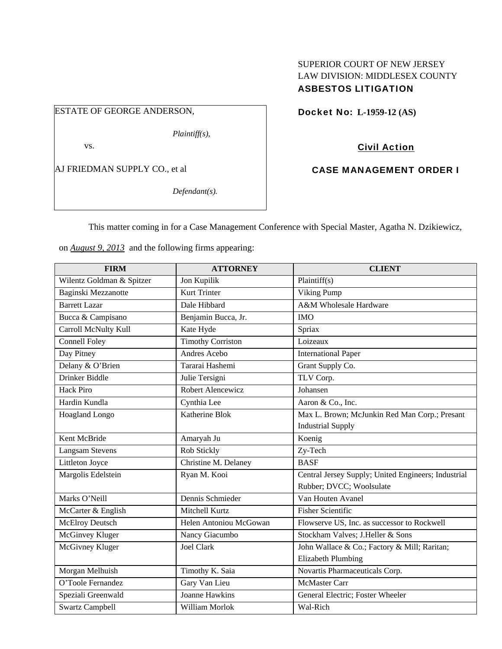## SUPERIOR COURT OF NEW JERSEY LAW DIVISION: MIDDLESEX COUNTY ASBESTOS LITIGATION

ESTATE OF GEORGE ANDERSON,

*Plaintiff(s),* 

vs.

AJ FRIEDMAN SUPPLY CO., et al

*Defendant(s).* 

Docket No: **L-1959-12 (AS)** 

Civil Action

CASE MANAGEMENT ORDER I

This matter coming in for a Case Management Conference with Special Master, Agatha N. Dzikiewicz,

on *August 9, 2013* and the following firms appearing:

| <b>FIRM</b>               | <b>ATTORNEY</b>          | <b>CLIENT</b>                                       |
|---------------------------|--------------------------|-----------------------------------------------------|
| Wilentz Goldman & Spitzer | Jon Kupilik              | Plaintiff(s)                                        |
| Baginski Mezzanotte       | <b>Kurt Trinter</b>      | Viking Pump                                         |
| <b>Barrett Lazar</b>      | Dale Hibbard             | A&M Wholesale Hardware                              |
| Bucca & Campisano         | Benjamin Bucca, Jr.      | <b>IMO</b>                                          |
| Carroll McNulty Kull      | Kate Hyde                | Spriax                                              |
| <b>Connell Foley</b>      | <b>Timothy Corriston</b> | Loizeaux                                            |
| Day Pitney                | Andres Acebo             | <b>International Paper</b>                          |
| Delany & O'Brien          | Tararai Hashemi          | Grant Supply Co.                                    |
| Drinker Biddle            | Julie Tersigni           | TLV Corp.                                           |
| <b>Hack Piro</b>          | Robert Alencewicz        | Johansen                                            |
| Hardin Kundla             | Cynthia Lee              | Aaron & Co., Inc.                                   |
| Hoagland Longo            | Katherine Blok           | Max L. Brown; McJunkin Red Man Corp.; Presant       |
|                           |                          | <b>Industrial Supply</b>                            |
| Kent McBride              | Amaryah Ju               | Koenig                                              |
| <b>Langsam Stevens</b>    | Rob Stickly              | Zy-Tech                                             |
| Littleton Joyce           | Christine M. Delaney     | <b>BASF</b>                                         |
| Margolis Edelstein        | Ryan M. Kooi             | Central Jersey Supply; United Engineers; Industrial |
|                           |                          | Rubber; DVCC; Woolsulate                            |
| Marks O'Neill             | Dennis Schmieder         | Van Houten Avanel                                   |
| McCarter & English        | Mitchell Kurtz           | <b>Fisher Scientific</b>                            |
| <b>McElroy Deutsch</b>    | Helen Antoniou McGowan   | Flowserve US, Inc. as successor to Rockwell         |
| McGinvey Kluger           | Nancy Giacumbo           | Stockham Valves; J.Heller & Sons                    |
| McGivney Kluger           | <b>Joel Clark</b>        | John Wallace & Co.; Factory & Mill; Raritan;        |
|                           |                          | <b>Elizabeth Plumbing</b>                           |
| Morgan Melhuish           | Timothy K. Saia          | Novartis Pharmaceuticals Corp.                      |
| O'Toole Fernandez         | Gary Van Lieu            | <b>McMaster Carr</b>                                |
| Speziali Greenwald        | <b>Joanne Hawkins</b>    | General Electric; Foster Wheeler                    |
| <b>Swartz Campbell</b>    | William Morlok           | Wal-Rich                                            |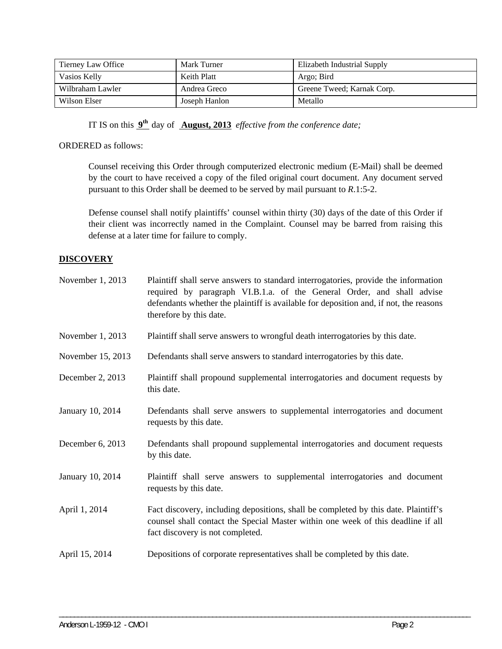| Tierney Law Office | Mark Turner   | Elizabeth Industrial Supply |
|--------------------|---------------|-----------------------------|
| Vasios Kelly       | Keith Platt   | Argo; Bird                  |
| Wilbraham Lawler   | Andrea Greco  | Greene Tweed; Karnak Corp.  |
| Wilson Elser       | Joseph Hanlon | Metallo                     |

IT IS on this **9th** day of **August, 2013** *effective from the conference date;*

## ORDERED as follows:

Counsel receiving this Order through computerized electronic medium (E-Mail) shall be deemed by the court to have received a copy of the filed original court document. Any document served pursuant to this Order shall be deemed to be served by mail pursuant to *R*.1:5-2.

Defense counsel shall notify plaintiffs' counsel within thirty (30) days of the date of this Order if their client was incorrectly named in the Complaint. Counsel may be barred from raising this defense at a later time for failure to comply.

## **DISCOVERY**

| November 1, 2013  | Plaintiff shall serve answers to standard interrogatories, provide the information<br>required by paragraph VI.B.1.a. of the General Order, and shall advise<br>defendants whether the plaintiff is available for deposition and, if not, the reasons<br>therefore by this date. |
|-------------------|----------------------------------------------------------------------------------------------------------------------------------------------------------------------------------------------------------------------------------------------------------------------------------|
| November 1, 2013  | Plaintiff shall serve answers to wrongful death interrogatories by this date.                                                                                                                                                                                                    |
| November 15, 2013 | Defendants shall serve answers to standard interrogatories by this date.                                                                                                                                                                                                         |
| December 2, 2013  | Plaintiff shall propound supplemental interrogatories and document requests by<br>this date.                                                                                                                                                                                     |
| January 10, 2014  | Defendants shall serve answers to supplemental interrogatories and document<br>requests by this date.                                                                                                                                                                            |
| December 6, 2013  | Defendants shall propound supplemental interrogatories and document requests<br>by this date.                                                                                                                                                                                    |
| January 10, 2014  | Plaintiff shall serve answers to supplemental interrogatories and document<br>requests by this date.                                                                                                                                                                             |
| April 1, 2014     | Fact discovery, including depositions, shall be completed by this date. Plaintiff's<br>counsel shall contact the Special Master within one week of this deadline if all<br>fact discovery is not completed.                                                                      |
| April 15, 2014    | Depositions of corporate representatives shall be completed by this date.                                                                                                                                                                                                        |

\_\_\_\_\_\_\_\_\_\_\_\_\_\_\_\_\_\_\_\_\_\_\_\_\_\_\_\_\_\_\_\_\_\_\_\_\_\_\_\_\_\_\_\_\_\_\_\_\_\_\_\_\_\_\_\_\_\_\_\_\_\_\_\_\_\_\_\_\_\_\_\_\_\_\_\_\_\_\_\_\_\_\_\_\_\_\_\_\_\_\_\_\_\_\_\_\_\_\_\_\_\_\_\_\_\_\_\_\_\_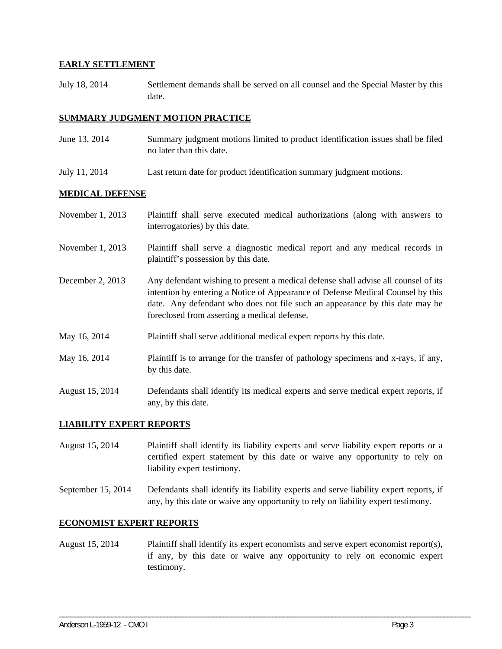### **EARLY SETTLEMENT**

July 18, 2014 Settlement demands shall be served on all counsel and the Special Master by this date.

## **SUMMARY JUDGMENT MOTION PRACTICE**

- June 13, 2014 Summary judgment motions limited to product identification issues shall be filed no later than this date.
- July 11, 2014 Last return date for product identification summary judgment motions.

#### **MEDICAL DEFENSE**

| November 1, 2013 | Plaintiff shall serve executed medical authorizations (along with answers to<br>interrogatories) by this date.                                                                                                                                                                                        |
|------------------|-------------------------------------------------------------------------------------------------------------------------------------------------------------------------------------------------------------------------------------------------------------------------------------------------------|
| November 1, 2013 | Plaintiff shall serve a diagnostic medical report and any medical records in<br>plaintiff's possession by this date.                                                                                                                                                                                  |
| December 2, 2013 | Any defendant wishing to present a medical defense shall advise all counsel of its<br>intention by entering a Notice of Appearance of Defense Medical Counsel by this<br>date. Any defendant who does not file such an appearance by this date may be<br>foreclosed from asserting a medical defense. |
| May 16, 2014     | Plaintiff shall serve additional medical expert reports by this date.                                                                                                                                                                                                                                 |
| May 16, 2014     | Plaintiff is to arrange for the transfer of pathology specimens and x-rays, if any,<br>by this date.                                                                                                                                                                                                  |
| August 15, 2014  | Defendants shall identify its medical experts and serve medical expert reports, if<br>any, by this date.                                                                                                                                                                                              |

#### **LIABILITY EXPERT REPORTS**

August 15, 2014 Plaintiff shall identify its liability experts and serve liability expert reports or a certified expert statement by this date or waive any opportunity to rely on liability expert testimony.

September 15, 2014 Defendants shall identify its liability experts and serve liability expert reports, if any, by this date or waive any opportunity to rely on liability expert testimony.

#### **ECONOMIST EXPERT REPORTS**

August 15, 2014 Plaintiff shall identify its expert economists and serve expert economist report(s), if any, by this date or waive any opportunity to rely on economic expert testimony.

\_\_\_\_\_\_\_\_\_\_\_\_\_\_\_\_\_\_\_\_\_\_\_\_\_\_\_\_\_\_\_\_\_\_\_\_\_\_\_\_\_\_\_\_\_\_\_\_\_\_\_\_\_\_\_\_\_\_\_\_\_\_\_\_\_\_\_\_\_\_\_\_\_\_\_\_\_\_\_\_\_\_\_\_\_\_\_\_\_\_\_\_\_\_\_\_\_\_\_\_\_\_\_\_\_\_\_\_\_\_